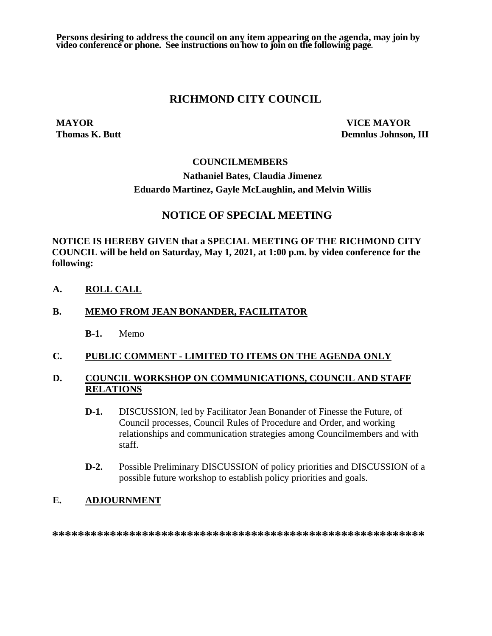**Persons desiring to address the council on any item appearing on the agenda, may join by video conference or phone. See instructions on how to join on the following page.**

## **RICHMOND CITY COUNCIL**

**MAYOR VICE MAYOR Thomas K. Butt Demnlus Johnson, III**

#### **COUNCILMEMBERS**

# **Nathaniel Bates, Claudia Jimenez Eduardo Martinez, Gayle McLaughlin, and Melvin Willis**

# **NOTICE OF SPECIAL MEETING**

**NOTICE IS HEREBY GIVEN that a SPECIAL MEETING OF THE RICHMOND CITY COUNCIL will be held on Saturday, May 1, 2021, at 1:00 p.m. by video conference for the following:**

**A. ROLL CALL**

#### **B. MEMO FROM JEAN BONANDER, FACILITATOR**

**B-1.** Memo

#### **C. PUBLIC COMMENT - LIMITED TO ITEMS ON THE AGENDA ONLY**

## **D. COUNCIL WORKSHOP ON COMMUNICATIONS, COUNCIL AND STAFF RELATIONS**

- **D-1.** DISCUSSION, led by Facilitator Jean Bonander of Finesse the Future, of Council processes, Council Rules of Procedure and Order, and working relationships and communication strategies among Councilmembers and with staff.
- **D-2.** Possible Preliminary DISCUSSION of policy priorities and DISCUSSION of a possible future workshop to establish policy priorities and goals.

#### **E. ADJOURNMENT**

**\*\*\*\*\*\*\*\*\*\*\*\*\*\*\*\*\*\*\*\*\*\*\*\*\*\*\*\*\*\*\*\*\*\*\*\*\*\*\*\*\*\*\*\*\*\*\*\*\*\*\*\*\*\*\*\*\*\***